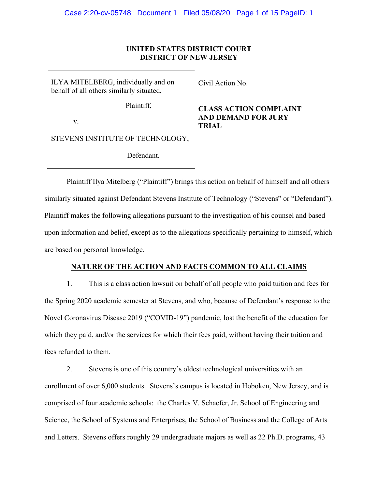#### **UNITED STATES DISTRICT COURT DISTRICT OF NEW JERSEY**

ILYA MITELBERG, individually and on behalf of all others similarly situated,

Plaintiff,

v.

STEVENS INSTITUTE OF TECHNOLOGY,

Defendant.

Civil Action No.

## **CLASS ACTION COMPLAINT AND DEMAND FOR JURY TRIAL**

Plaintiff Ilya Mitelberg ("Plaintiff") brings this action on behalf of himself and all others similarly situated against Defendant Stevens Institute of Technology ("Stevens" or "Defendant"). Plaintiff makes the following allegations pursuant to the investigation of his counsel and based upon information and belief, except as to the allegations specifically pertaining to himself, which are based on personal knowledge.

## **NATURE OF THE ACTION AND FACTS COMMON TO ALL CLAIMS**

1. This is a class action lawsuit on behalf of all people who paid tuition and fees for the Spring 2020 academic semester at Stevens, and who, because of Defendant's response to the Novel Coronavirus Disease 2019 ("COVID-19") pandemic, lost the benefit of the education for which they paid, and/or the services for which their fees paid, without having their tuition and fees refunded to them.

2. Stevens is one of this country's oldest technological universities with an enrollment of over 6,000 students. Stevens's campus is located in Hoboken, New Jersey, and is comprised of four academic schools: the Charles V. Schaefer, Jr. School of Engineering and Science, the School of Systems and Enterprises, the School of Business and the College of Arts and Letters. Stevens offers roughly 29 undergraduate majors as well as 22 Ph.D. programs, 43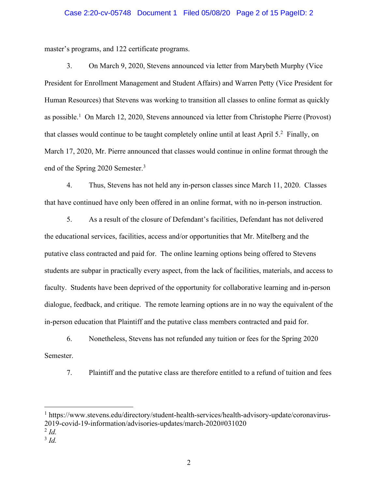## Case 2:20-cv-05748 Document 1 Filed 05/08/20 Page 2 of 15 PageID: 2

master's programs, and 122 certificate programs.

3. On March 9, 2020, Stevens announced via letter from Marybeth Murphy (Vice President for Enrollment Management and Student Affairs) and Warren Petty (Vice President for Human Resources) that Stevens was working to transition all classes to online format as quickly as possible.<sup>1</sup> On March 12, 2020, Stevens announced via letter from Christophe Pierre (Provost) that classes would continue to be taught completely online until at least April 5.2 Finally, on March 17, 2020, Mr. Pierre announced that classes would continue in online format through the end of the Spring 2020 Semester.3

4. Thus, Stevens has not held any in-person classes since March 11, 2020. Classes that have continued have only been offered in an online format, with no in-person instruction.

5. As a result of the closure of Defendant's facilities, Defendant has not delivered the educational services, facilities, access and/or opportunities that Mr. Mitelberg and the putative class contracted and paid for. The online learning options being offered to Stevens students are subpar in practically every aspect, from the lack of facilities, materials, and access to faculty. Students have been deprived of the opportunity for collaborative learning and in-person dialogue, feedback, and critique. The remote learning options are in no way the equivalent of the in-person education that Plaintiff and the putative class members contracted and paid for.

6. Nonetheless, Stevens has not refunded any tuition or fees for the Spring 2020 Semester.

7. Plaintiff and the putative class are therefore entitled to a refund of tuition and fees

<sup>3</sup> *Id.*

<sup>1</sup> https://www.stevens.edu/directory/student-health-services/health-advisory-update/coronavirus-2019-covid-19-information/advisories-updates/march-2020#031020

 $^{2}$  *Id.*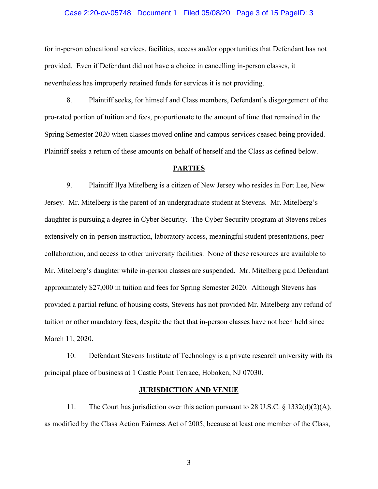#### Case 2:20-cv-05748 Document 1 Filed 05/08/20 Page 3 of 15 PageID: 3

for in-person educational services, facilities, access and/or opportunities that Defendant has not provided. Even if Defendant did not have a choice in cancelling in-person classes, it nevertheless has improperly retained funds for services it is not providing.

8. Plaintiff seeks, for himself and Class members, Defendant's disgorgement of the pro-rated portion of tuition and fees, proportionate to the amount of time that remained in the Spring Semester 2020 when classes moved online and campus services ceased being provided. Plaintiff seeks a return of these amounts on behalf of herself and the Class as defined below.

#### **PARTIES**

9. Plaintiff Ilya Mitelberg is a citizen of New Jersey who resides in Fort Lee, New Jersey. Mr. Mitelberg is the parent of an undergraduate student at Stevens. Mr. Mitelberg's daughter is pursuing a degree in Cyber Security. The Cyber Security program at Stevens relies extensively on in-person instruction, laboratory access, meaningful student presentations, peer collaboration, and access to other university facilities. None of these resources are available to Mr. Mitelberg's daughter while in-person classes are suspended. Mr. Mitelberg paid Defendant approximately \$27,000 in tuition and fees for Spring Semester 2020. Although Stevens has provided a partial refund of housing costs, Stevens has not provided Mr. Mitelberg any refund of tuition or other mandatory fees, despite the fact that in-person classes have not been held since March 11, 2020.

10. Defendant Stevens Institute of Technology is a private research university with its principal place of business at 1 Castle Point Terrace, Hoboken, NJ 07030.

#### **JURISDICTION AND VENUE**

11. The Court has jurisdiction over this action pursuant to 28 U.S.C. § 1332(d)(2)(A), as modified by the Class Action Fairness Act of 2005, because at least one member of the Class,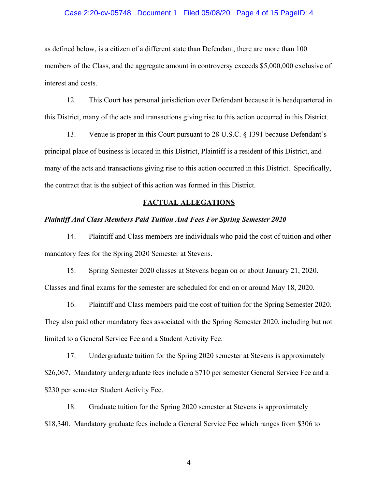#### Case 2:20-cv-05748 Document 1 Filed 05/08/20 Page 4 of 15 PageID: 4

as defined below, is a citizen of a different state than Defendant, there are more than 100 members of the Class, and the aggregate amount in controversy exceeds \$5,000,000 exclusive of interest and costs.

12. This Court has personal jurisdiction over Defendant because it is headquartered in this District, many of the acts and transactions giving rise to this action occurred in this District.

13. Venue is proper in this Court pursuant to 28 U.S.C. § 1391 because Defendant's principal place of business is located in this District, Plaintiff is a resident of this District, and many of the acts and transactions giving rise to this action occurred in this District. Specifically, the contract that is the subject of this action was formed in this District.

#### **FACTUAL ALLEGATIONS**

#### *Plaintiff And Class Members Paid Tuition And Fees For Spring Semester 2020*

14. Plaintiff and Class members are individuals who paid the cost of tuition and other mandatory fees for the Spring 2020 Semester at Stevens.

15. Spring Semester 2020 classes at Stevens began on or about January 21, 2020. Classes and final exams for the semester are scheduled for end on or around May 18, 2020.

16. Plaintiff and Class members paid the cost of tuition for the Spring Semester 2020. They also paid other mandatory fees associated with the Spring Semester 2020, including but not limited to a General Service Fee and a Student Activity Fee.

17. Undergraduate tuition for the Spring 2020 semester at Stevens is approximately \$26,067. Mandatory undergraduate fees include a \$710 per semester General Service Fee and a \$230 per semester Student Activity Fee.

18. Graduate tuition for the Spring 2020 semester at Stevens is approximately \$18,340. Mandatory graduate fees include a General Service Fee which ranges from \$306 to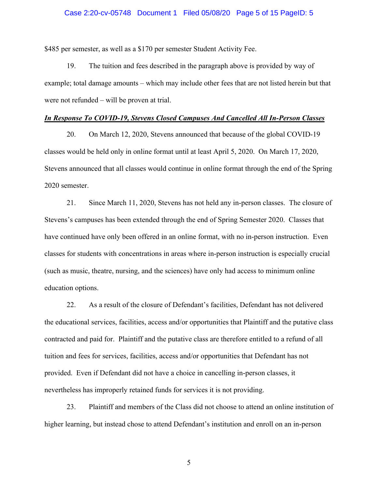#### Case 2:20-cv-05748 Document 1 Filed 05/08/20 Page 5 of 15 PageID: 5

\$485 per semester, as well as a \$170 per semester Student Activity Fee.

19. The tuition and fees described in the paragraph above is provided by way of example; total damage amounts – which may include other fees that are not listed herein but that were not refunded – will be proven at trial.

#### *In Response To COVID-19, Stevens Closed Campuses And Cancelled All In-Person Classes*

20. On March 12, 2020, Stevens announced that because of the global COVID-19 classes would be held only in online format until at least April 5, 2020. On March 17, 2020, Stevens announced that all classes would continue in online format through the end of the Spring 2020 semester.

21. Since March 11, 2020, Stevens has not held any in-person classes. The closure of Stevens's campuses has been extended through the end of Spring Semester 2020. Classes that have continued have only been offered in an online format, with no in-person instruction. Even classes for students with concentrations in areas where in-person instruction is especially crucial (such as music, theatre, nursing, and the sciences) have only had access to minimum online education options.

22. As a result of the closure of Defendant's facilities, Defendant has not delivered the educational services, facilities, access and/or opportunities that Plaintiff and the putative class contracted and paid for. Plaintiff and the putative class are therefore entitled to a refund of all tuition and fees for services, facilities, access and/or opportunities that Defendant has not provided. Even if Defendant did not have a choice in cancelling in-person classes, it nevertheless has improperly retained funds for services it is not providing.

23. Plaintiff and members of the Class did not choose to attend an online institution of higher learning, but instead chose to attend Defendant's institution and enroll on an in-person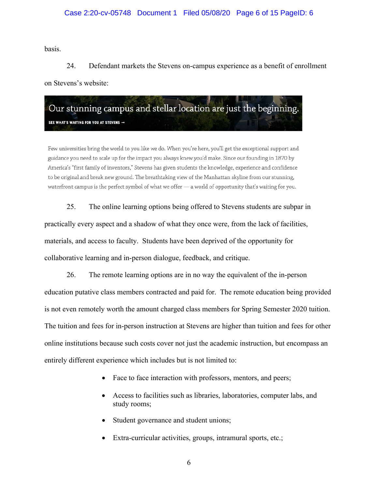#### Case 2:20-cv-05748 Document 1 Filed 05/08/20 Page 6 of 15 PageID: 6

basis.

24. Defendant markets the Stevens on-campus experience as a benefit of enrollment on Stevens's website:

Our stunning campus and stellar location are just the beginning. SEE WHAT'S WAITING FOR YOU AT STEVENS →

Few universities bring the world to you like we do. When you're here, you'll get the exceptional support and guidance you need to scale up for the impact you always knew you'd make. Since our founding in 1870 by America's "first family of inventors," Stevens has given students the knowledge, experience and confidence to be original and break new ground. The breathtaking view of the Manhattan skyline from our stunning, waterfront campus is the perfect symbol of what we offer - a world of opportunity that's waiting for you.

25. The online learning options being offered to Stevens students are subpar in practically every aspect and a shadow of what they once were, from the lack of facilities, materials, and access to faculty. Students have been deprived of the opportunity for collaborative learning and in-person dialogue, feedback, and critique.

26. The remote learning options are in no way the equivalent of the in-person education putative class members contracted and paid for. The remote education being provided is not even remotely worth the amount charged class members for Spring Semester 2020 tuition. The tuition and fees for in-person instruction at Stevens are higher than tuition and fees for other online institutions because such costs cover not just the academic instruction, but encompass an entirely different experience which includes but is not limited to:

- Face to face interaction with professors, mentors, and peers;
- Access to facilities such as libraries, laboratories, computer labs, and study rooms;
- Student governance and student unions;
- Extra-curricular activities, groups, intramural sports, etc.;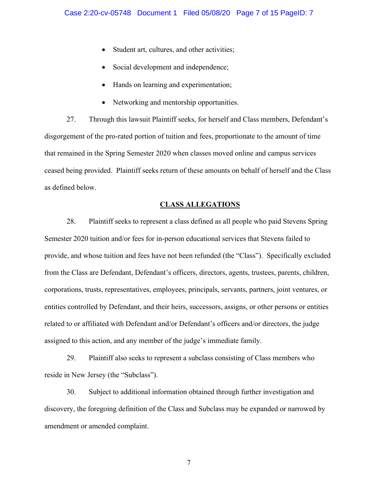- Student art, cultures, and other activities;
- Social development and independence;
- Hands on learning and experimentation;
- Networking and mentorship opportunities.

27. Through this lawsuit Plaintiff seeks, for herself and Class members, Defendant's disgorgement of the pro-rated portion of tuition and fees, proportionate to the amount of time that remained in the Spring Semester 2020 when classes moved online and campus services ceased being provided. Plaintiff seeks return of these amounts on behalf of herself and the Class as defined below.

## **CLASS ALLEGATIONS**

28. Plaintiff seeks to represent a class defined as all people who paid Stevens Spring Semester 2020 tuition and/or fees for in-person educational services that Stevens failed to provide, and whose tuition and fees have not been refunded (the "Class"). Specifically excluded from the Class are Defendant, Defendant's officers, directors, agents, trustees, parents, children, corporations, trusts, representatives, employees, principals, servants, partners, joint ventures, or entities controlled by Defendant, and their heirs, successors, assigns, or other persons or entities related to or affiliated with Defendant and/or Defendant's officers and/or directors, the judge assigned to this action, and any member of the judge's immediate family.

29. Plaintiff also seeks to represent a subclass consisting of Class members who reside in New Jersey (the "Subclass").

30. Subject to additional information obtained through further investigation and discovery, the foregoing definition of the Class and Subclass may be expanded or narrowed by amendment or amended complaint.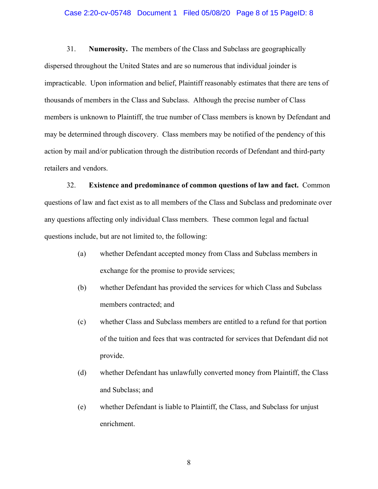#### Case 2:20-cv-05748 Document 1 Filed 05/08/20 Page 8 of 15 PageID: 8

31. **Numerosity.** The members of the Class and Subclass are geographically dispersed throughout the United States and are so numerous that individual joinder is impracticable. Upon information and belief, Plaintiff reasonably estimates that there are tens of thousands of members in the Class and Subclass. Although the precise number of Class members is unknown to Plaintiff, the true number of Class members is known by Defendant and may be determined through discovery. Class members may be notified of the pendency of this action by mail and/or publication through the distribution records of Defendant and third-party retailers and vendors.

32. **Existence and predominance of common questions of law and fact.** Common questions of law and fact exist as to all members of the Class and Subclass and predominate over any questions affecting only individual Class members. These common legal and factual questions include, but are not limited to, the following:

- (a) whether Defendant accepted money from Class and Subclass members in exchange for the promise to provide services;
- (b) whether Defendant has provided the services for which Class and Subclass members contracted; and
- (c) whether Class and Subclass members are entitled to a refund for that portion of the tuition and fees that was contracted for services that Defendant did not provide.
- (d) whether Defendant has unlawfully converted money from Plaintiff, the Class and Subclass; and
- (e) whether Defendant is liable to Plaintiff, the Class, and Subclass for unjust enrichment.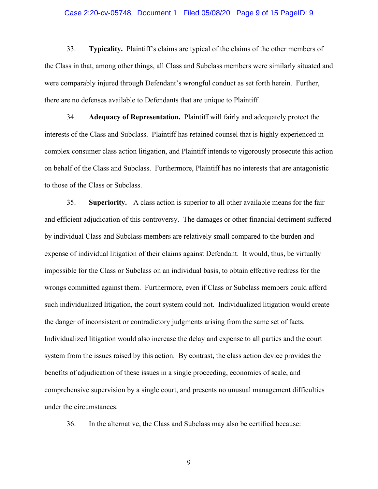#### Case 2:20-cv-05748 Document 1 Filed 05/08/20 Page 9 of 15 PageID: 9

33. **Typicality.** Plaintiff's claims are typical of the claims of the other members of the Class in that, among other things, all Class and Subclass members were similarly situated and were comparably injured through Defendant's wrongful conduct as set forth herein. Further, there are no defenses available to Defendants that are unique to Plaintiff.

34. **Adequacy of Representation.** Plaintiff will fairly and adequately protect the interests of the Class and Subclass. Plaintiff has retained counsel that is highly experienced in complex consumer class action litigation, and Plaintiff intends to vigorously prosecute this action on behalf of the Class and Subclass. Furthermore, Plaintiff has no interests that are antagonistic to those of the Class or Subclass.

35. **Superiority.** A class action is superior to all other available means for the fair and efficient adjudication of this controversy. The damages or other financial detriment suffered by individual Class and Subclass members are relatively small compared to the burden and expense of individual litigation of their claims against Defendant. It would, thus, be virtually impossible for the Class or Subclass on an individual basis, to obtain effective redress for the wrongs committed against them. Furthermore, even if Class or Subclass members could afford such individualized litigation, the court system could not. Individualized litigation would create the danger of inconsistent or contradictory judgments arising from the same set of facts. Individualized litigation would also increase the delay and expense to all parties and the court system from the issues raised by this action. By contrast, the class action device provides the benefits of adjudication of these issues in a single proceeding, economies of scale, and comprehensive supervision by a single court, and presents no unusual management difficulties under the circumstances.

36. In the alternative, the Class and Subclass may also be certified because: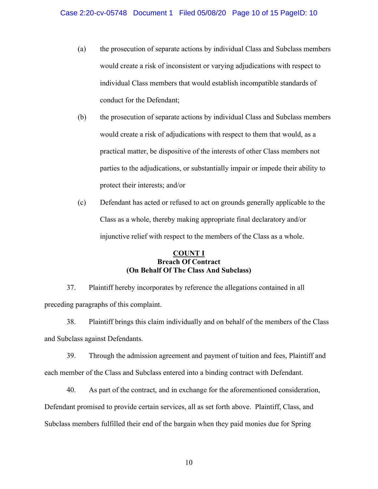- (a) the prosecution of separate actions by individual Class and Subclass members would create a risk of inconsistent or varying adjudications with respect to individual Class members that would establish incompatible standards of conduct for the Defendant;
- (b) the prosecution of separate actions by individual Class and Subclass members would create a risk of adjudications with respect to them that would, as a practical matter, be dispositive of the interests of other Class members not parties to the adjudications, or substantially impair or impede their ability to protect their interests; and/or
- (c) Defendant has acted or refused to act on grounds generally applicable to the Class as a whole, thereby making appropriate final declaratory and/or injunctive relief with respect to the members of the Class as a whole.

## **COUNT I Breach Of Contract (On Behalf Of The Class And Subclass)**

37. Plaintiff hereby incorporates by reference the allegations contained in all preceding paragraphs of this complaint.

38. Plaintiff brings this claim individually and on behalf of the members of the Class and Subclass against Defendants.

39. Through the admission agreement and payment of tuition and fees, Plaintiff and each member of the Class and Subclass entered into a binding contract with Defendant.

40. As part of the contract, and in exchange for the aforementioned consideration, Defendant promised to provide certain services, all as set forth above. Plaintiff, Class, and Subclass members fulfilled their end of the bargain when they paid monies due for Spring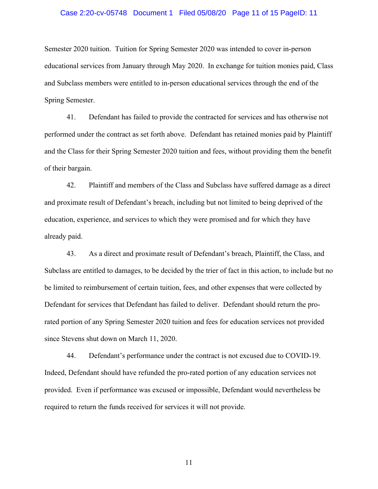#### Case 2:20-cv-05748 Document 1 Filed 05/08/20 Page 11 of 15 PageID: 11

Semester 2020 tuition. Tuition for Spring Semester 2020 was intended to cover in-person educational services from January through May 2020. In exchange for tuition monies paid, Class and Subclass members were entitled to in-person educational services through the end of the Spring Semester.

41. Defendant has failed to provide the contracted for services and has otherwise not performed under the contract as set forth above. Defendant has retained monies paid by Plaintiff and the Class for their Spring Semester 2020 tuition and fees, without providing them the benefit of their bargain.

42. Plaintiff and members of the Class and Subclass have suffered damage as a direct and proximate result of Defendant's breach, including but not limited to being deprived of the education, experience, and services to which they were promised and for which they have already paid.

43. As a direct and proximate result of Defendant's breach, Plaintiff, the Class, and Subclass are entitled to damages, to be decided by the trier of fact in this action, to include but no be limited to reimbursement of certain tuition, fees, and other expenses that were collected by Defendant for services that Defendant has failed to deliver. Defendant should return the prorated portion of any Spring Semester 2020 tuition and fees for education services not provided since Stevens shut down on March 11, 2020.

44. Defendant's performance under the contract is not excused due to COVID-19. Indeed, Defendant should have refunded the pro-rated portion of any education services not provided. Even if performance was excused or impossible, Defendant would nevertheless be required to return the funds received for services it will not provide.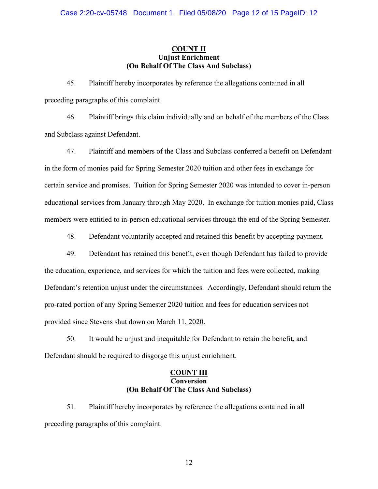## **COUNT II Unjust Enrichment (On Behalf Of The Class And Subclass)**

45. Plaintiff hereby incorporates by reference the allegations contained in all preceding paragraphs of this complaint.

46. Plaintiff brings this claim individually and on behalf of the members of the Class and Subclass against Defendant.

47. Plaintiff and members of the Class and Subclass conferred a benefit on Defendant in the form of monies paid for Spring Semester 2020 tuition and other fees in exchange for certain service and promises. Tuition for Spring Semester 2020 was intended to cover in-person educational services from January through May 2020. In exchange for tuition monies paid, Class members were entitled to in-person educational services through the end of the Spring Semester.

48. Defendant voluntarily accepted and retained this benefit by accepting payment.

49. Defendant has retained this benefit, even though Defendant has failed to provide the education, experience, and services for which the tuition and fees were collected, making Defendant's retention unjust under the circumstances. Accordingly, Defendant should return the pro-rated portion of any Spring Semester 2020 tuition and fees for education services not provided since Stevens shut down on March 11, 2020.

50. It would be unjust and inequitable for Defendant to retain the benefit, and Defendant should be required to disgorge this unjust enrichment.

## **COUNT III Conversion (On Behalf Of The Class And Subclass)**

51. Plaintiff hereby incorporates by reference the allegations contained in all preceding paragraphs of this complaint.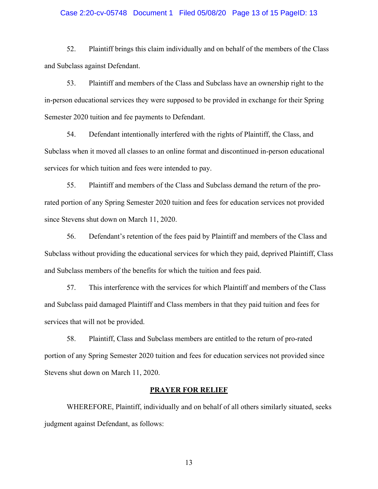#### Case 2:20-cv-05748 Document 1 Filed 05/08/20 Page 13 of 15 PageID: 13

52. Plaintiff brings this claim individually and on behalf of the members of the Class and Subclass against Defendant.

53. Plaintiff and members of the Class and Subclass have an ownership right to the in-person educational services they were supposed to be provided in exchange for their Spring Semester 2020 tuition and fee payments to Defendant.

54. Defendant intentionally interfered with the rights of Plaintiff, the Class, and Subclass when it moved all classes to an online format and discontinued in-person educational services for which tuition and fees were intended to pay.

55. Plaintiff and members of the Class and Subclass demand the return of the prorated portion of any Spring Semester 2020 tuition and fees for education services not provided since Stevens shut down on March 11, 2020.

56. Defendant's retention of the fees paid by Plaintiff and members of the Class and Subclass without providing the educational services for which they paid, deprived Plaintiff, Class and Subclass members of the benefits for which the tuition and fees paid.

57. This interference with the services for which Plaintiff and members of the Class and Subclass paid damaged Plaintiff and Class members in that they paid tuition and fees for services that will not be provided.

58. Plaintiff, Class and Subclass members are entitled to the return of pro-rated portion of any Spring Semester 2020 tuition and fees for education services not provided since Stevens shut down on March 11, 2020.

#### **PRAYER FOR RELIEF**

WHEREFORE, Plaintiff, individually and on behalf of all others similarly situated, seeks judgment against Defendant, as follows: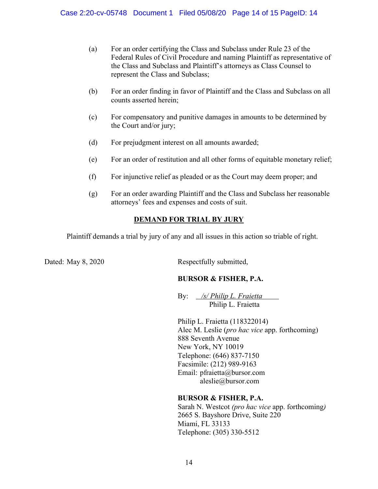- (a) For an order certifying the Class and Subclass under Rule 23 of the Federal Rules of Civil Procedure and naming Plaintiff as representative of the Class and Subclass and Plaintiff's attorneys as Class Counsel to represent the Class and Subclass;
- (b) For an order finding in favor of Plaintiff and the Class and Subclass on all counts asserted herein;
- (c) For compensatory and punitive damages in amounts to be determined by the Court and/or jury;
- (d) For prejudgment interest on all amounts awarded;
- (e) For an order of restitution and all other forms of equitable monetary relief;
- (f) For injunctive relief as pleaded or as the Court may deem proper; and
- (g) For an order awarding Plaintiff and the Class and Subclass her reasonable attorneys' fees and expenses and costs of suit.

## **DEMAND FOR TRIAL BY JURY**

Plaintiff demands a trial by jury of any and all issues in this action so triable of right.

Dated: May 8, 2020 Respectfully submitted,

## **BURSOR & FISHER, P.A.**

By: */s/ Philip L. Fraietta* Philip L. Fraietta

Philip L. Fraietta (118322014) Alec M. Leslie (*pro hac vice* app. forthcoming) 888 Seventh Avenue New York, NY 10019 Telephone: (646) 837-7150 Facsimile: (212) 989-9163 Email: pfraietta@bursor.com aleslie@bursor.com

## **BURSOR & FISHER, P.A.**

Sarah N. Westcot *(pro hac vice* app. forthcoming*)* 2665 S. Bayshore Drive, Suite 220 Miami, FL 33133 Telephone: (305) 330-5512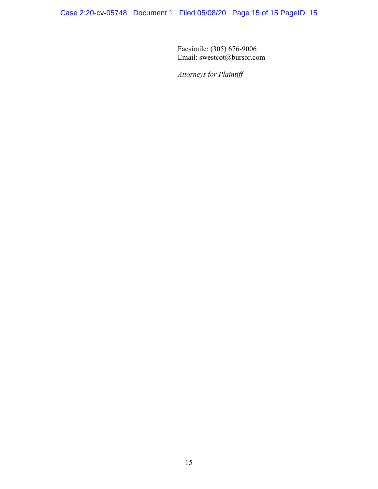Facsimile: (305) 676-9006 Email: swestcot@bursor.com

*Attorneys for Plaintiff*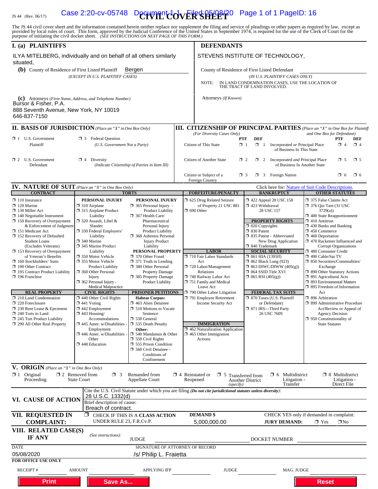# IS 44 (Rev. 06/17) Case 2:20-cv-05748 Decryment  $\text{CovER}$  SPR $\text{Cov}$  Page 1 of 1 PageID: 16

The JS 44 civil cover sheet and the information contained herein neither replace nor supplement the filing and service of pleadings or other papers as required by law, except as provided by local rules of court. This form,

| I. (a) PLAINTIFFS                                                                                                                           |                                                                                                                                                                                                  |                                                                                                                                          |                                                                                                                                                     | <b>DEFENDANTS</b>                                                                                                      |                                                                                            |                                                                                      |                                                                                                                            |                                                                                                            |                 |  |
|---------------------------------------------------------------------------------------------------------------------------------------------|--------------------------------------------------------------------------------------------------------------------------------------------------------------------------------------------------|------------------------------------------------------------------------------------------------------------------------------------------|-----------------------------------------------------------------------------------------------------------------------------------------------------|------------------------------------------------------------------------------------------------------------------------|--------------------------------------------------------------------------------------------|--------------------------------------------------------------------------------------|----------------------------------------------------------------------------------------------------------------------------|------------------------------------------------------------------------------------------------------------|-----------------|--|
| ILYA MITELBERG, individually and on behalf of all others similarly<br>situated,                                                             |                                                                                                                                                                                                  |                                                                                                                                          |                                                                                                                                                     | STEVENS INSTITUTE OF TECHNOLOGY,                                                                                       |                                                                                            |                                                                                      |                                                                                                                            |                                                                                                            |                 |  |
| (b) County of Residence of First Listed Plaintiff<br>Bergen                                                                                 |                                                                                                                                                                                                  |                                                                                                                                          |                                                                                                                                                     | County of Residence of First Listed Defendant                                                                          |                                                                                            |                                                                                      |                                                                                                                            |                                                                                                            |                 |  |
| (EXCEPT IN U.S. PLAINTIFF CASES)                                                                                                            |                                                                                                                                                                                                  |                                                                                                                                          |                                                                                                                                                     | (IN U.S. PLAINTIFF CASES ONLY)<br>IN LAND CONDEMNATION CASES, USE THE LOCATION OF THE TRACT OF LAND INVOLVED.<br>NOTE: |                                                                                            |                                                                                      |                                                                                                                            |                                                                                                            |                 |  |
|                                                                                                                                             |                                                                                                                                                                                                  |                                                                                                                                          |                                                                                                                                                     |                                                                                                                        |                                                                                            |                                                                                      |                                                                                                                            |                                                                                                            |                 |  |
| (c) Attorneys (Firm Name, Address, and Telephone Number)<br>Bursor & Fisher, P.A.<br>888 Seventh Avenue, New York, NY 10019<br>646-837-7150 |                                                                                                                                                                                                  |                                                                                                                                          |                                                                                                                                                     | Attorneys (If Known)                                                                                                   |                                                                                            |                                                                                      |                                                                                                                            |                                                                                                            |                 |  |
| <b>II. BASIS OF JURISDICTION</b> (Place an "X" in One Box Only)                                                                             |                                                                                                                                                                                                  |                                                                                                                                          |                                                                                                                                                     | <b>III. CITIZENSHIP OF PRINCIPAL PARTIES</b> (Place an "X" in One Box for Plaintiff                                    |                                                                                            |                                                                                      |                                                                                                                            |                                                                                                            |                 |  |
|                                                                                                                                             |                                                                                                                                                                                                  |                                                                                                                                          |                                                                                                                                                     | (For Diversity Cases Only)                                                                                             |                                                                                            |                                                                                      | and One Box for Defendant)                                                                                                 |                                                                                                            |                 |  |
| $\Box$ 1 U.S. Government<br>Plaintiff                                                                                                       | 区 3 Federal Question<br>(U.S. Government Not a Party)                                                                                                                                            |                                                                                                                                          |                                                                                                                                                     | PTF<br>Citizen of This State<br>$\Box$ 1                                                                               | <b>DEF</b><br>$\Box$ 1                                                                     | Incorporated or Principal Place<br>of Business In This State                         |                                                                                                                            | <b>PTF</b><br>$\Box$ 4                                                                                     | DEF<br>$\Box$ 4 |  |
| $\Box$ 2 U.S. Government<br>$\Box$ 4 Diversity<br>Defendant<br>(Indicate Citizenship of Parties in Item III)                                |                                                                                                                                                                                                  |                                                                                                                                          | $\square$ 5<br>Citizen of Another State<br>$\Box$ 2 Incorporated <i>and</i> Principal Place<br>$\Box$ 5<br>$\Box$ 2<br>of Business In Another State |                                                                                                                        |                                                                                            |                                                                                      |                                                                                                                            |                                                                                                            |                 |  |
|                                                                                                                                             |                                                                                                                                                                                                  |                                                                                                                                          |                                                                                                                                                     | Citizen or Subject of a<br>$\Box$ 3<br>Foreign Country                                                                 |                                                                                            | $\Box$ 3 Foreign Nation                                                              |                                                                                                                            | $\Box$ 6                                                                                                   | $\square$ 6     |  |
| <b>IV. NATURE OF SUIT</b> (Place an "X" in One Box Only)                                                                                    |                                                                                                                                                                                                  |                                                                                                                                          |                                                                                                                                                     |                                                                                                                        |                                                                                            | Click here for: Nature of Suit Code Descriptions.                                    |                                                                                                                            |                                                                                                            |                 |  |
| <b>CONTRACT</b><br>$\Box$ 110 Insurance                                                                                                     | PERSONAL INJURY                                                                                                                                                                                  | <b>TORTS</b><br>PERSONAL INJURY                                                                                                          |                                                                                                                                                     | <b>FORFEITURE/PENALTY</b><br>5 625 Drug Related Seizure                                                                |                                                                                            | <b>BANKRUPTCY</b>                                                                    |                                                                                                                            | <b>OTHER STATUTES</b>                                                                                      |                 |  |
| $\Box$ 120 Marine<br>$\Box$ 130 Miller Act<br>$\Box$ 140 Negotiable Instrument<br>$\Box$ 150 Recovery of Overpayment                        | $\Box$ 310 Airplane<br>$\Box$ 365 Personal Injury -<br>$\Box$ 315 Airplane Product<br><b>Product Liability</b><br>Liability<br>367 Health Care/<br>$\Box$ 320 Assault, Libel &<br>Pharmaceutical |                                                                                                                                          |                                                                                                                                                     | of Property 21 USC 881<br>$\Box$ 690 Other                                                                             | 158 122 Appeal 28 USC 158<br>$\Box$ 423 Withdrawal<br>28 USC 157<br><b>PROPERTY RIGHTS</b> |                                                                                      | 375 False Claims Act<br>$\Box$ 376 Qui Tam (31 USC)<br>3729(a)<br>$\Box$ 400 State Reapportionment<br>$\Box$ 410 Antitrust |                                                                                                            |                 |  |
| & Enforcement of Judgment<br>□ 151 Medicare Act<br>152 Recovery of Defaulted<br><b>Student Loans</b>                                        | Slander<br>□ 330 Federal Employers'<br>Liability<br>$\Box$ 340 Marine                                                                                                                            | Personal Injury<br><b>Product Liability</b><br>□ 368 Asbestos Personal<br><b>Injury Product</b>                                          |                                                                                                                                                     |                                                                                                                        |                                                                                            | □ 820 Copyrights<br>□ 830 Patent<br>335 Patent - Abbreviated<br>New Drug Application |                                                                                                                            | 1 430 Banks and Banking<br>$\Box$ 450 Commerce<br>$\Box$ 460 Deportation<br>1 470 Racketeer Influenced and |                 |  |
| (Excludes Veterans)<br>□ 153 Recovery of Overpayment                                                                                        | □ 345 Marine Product<br>Liability                                                                                                                                                                | Liability<br>PERSONAL PROPERTY                                                                                                           |                                                                                                                                                     | <b>LABOR</b>                                                                                                           | □ 840 Trademark                                                                            | <b>SOCIAL SECURITY</b>                                                               | <b>Corrupt Organizations</b><br>480 Consumer Credit<br>□ 490 Cable/Sat TV                                                  |                                                                                                            |                 |  |
| of Veteran's Benefits                                                                                                                       | □ 350 Motor Vehicle                                                                                                                                                                              | □ 370 Other Fraud                                                                                                                        |                                                                                                                                                     | 710 Fair Labor Standards                                                                                               | $\Box$ 861 HIA (1395ff)                                                                    |                                                                                      |                                                                                                                            |                                                                                                            |                 |  |
| $\Box$ 160 Stockholders' Suits<br>又 190 Other Contract                                                                                      | □ 355 Motor Vehicle<br><b>Product Liability</b>                                                                                                                                                  | $\Box$ 371 Truth in Lending<br>380 Other Personal                                                                                        |                                                                                                                                                     | Act<br>720 Labor/Management                                                                                            | <b>1 862 Black Lung (923)</b>                                                              | $\Box$ 863 DIWC/DIWW (405(g))                                                        | □ 850 Securities/Commodities/<br>Exchange                                                                                  |                                                                                                            |                 |  |
| □ 195 Contract Product Liability                                                                                                            | 360 Other Personal                                                                                                                                                                               | <b>Property Damage</b>                                                                                                                   |                                                                                                                                                     | Relations                                                                                                              | □ 864 SSID Title XVI                                                                       |                                                                                      | 1 890 Other Statutory Actions                                                                                              |                                                                                                            |                 |  |
| $\Box$ 196 Franchise                                                                                                                        | Injury<br>$\Box$ 362 Personal Injury -                                                                                                                                                           | □ 385 Property Damage<br><b>Product Liability</b>                                                                                        |                                                                                                                                                     | 740 Railway Labor Act<br>751 Family and Medical                                                                        | $\Box$ 865 RSI (405(g))                                                                    |                                                                                      | $\Box$ 891 Agricultural Acts<br>□ 893 Environmental Matters                                                                |                                                                                                            |                 |  |
| <b>REAL PROPERTY</b>                                                                                                                        | Medical Malpractice<br><b>CIVIL RIGHTS</b>                                                                                                                                                       | PRISONER PETITIONS                                                                                                                       |                                                                                                                                                     | Leave Act<br>790 Other Labor Litigation                                                                                |                                                                                            | <b>FEDERAL TAX SUITS</b>                                                             | $\Box$ 895 Freedom of Information<br>Act                                                                                   |                                                                                                            |                 |  |
| 210 Land Condemnation                                                                                                                       | $\Box$ 440 Other Civil Rights                                                                                                                                                                    | <b>Habeas Corpus:</b>                                                                                                                    |                                                                                                                                                     | 791 Employee Retirement                                                                                                |                                                                                            | □ 870 Taxes (U.S. Plaintiff                                                          | □ 896 Arbitration                                                                                                          |                                                                                                            |                 |  |
| $\Box$ 220 Foreclosure<br>$\Box$ 230 Rent Lease & Ejectment<br>240 Torts to Land<br>245 Tort Product Liability                              | $\Box$ 441 Voting<br>463 Alien Detainee<br>$\Box$ 442 Employment<br>□ 510 Motions to Vacate<br>$\Box$ 443 Housing/<br>Sentence<br>□ 530 General<br>Accommodations                                |                                                                                                                                          | <b>Income Security Act</b>                                                                                                                          |                                                                                                                        | or Defendant)<br>□ 871 IRS—Third Party<br>26 USC 7609                                      |                                                                                      | □ 899 Administrative Procedure<br>Act/Review or Appeal of<br><b>Agency Decision</b><br>$\Box$ 950 Constitutionality of     |                                                                                                            |                 |  |
| 290 All Other Real Property                                                                                                                 | $\Box$ 445 Amer. w/Disabilities                                                                                                                                                                  | 535 Death Penalty                                                                                                                        |                                                                                                                                                     | <b>IMMIGRATION</b>                                                                                                     |                                                                                            |                                                                                      | <b>State Statutes</b>                                                                                                      |                                                                                                            |                 |  |
|                                                                                                                                             | Employment<br>$\Box$ 446 Amer. w/Disabilities<br>Other<br>$\square$ 448 Education                                                                                                                | Other:<br>$\Box$ 540 Mandamus & Other<br>$\Box$ 550 Civil Rights<br><b>355 Prison Condition</b><br>560 Civil Detainee -<br>Conditions of |                                                                                                                                                     | 462 Naturalization Application<br>$\Box$ 465 Other Immigration<br>Actions                                              |                                                                                            |                                                                                      |                                                                                                                            |                                                                                                            |                 |  |
|                                                                                                                                             |                                                                                                                                                                                                  | Confinement                                                                                                                              |                                                                                                                                                     |                                                                                                                        |                                                                                            |                                                                                      |                                                                                                                            |                                                                                                            |                 |  |
| V. ORIGIN (Place an "X" in One Box Only)<br>$\boxtimes$ 1 Original<br>Proceeding                                                            | $\square$ 2 Removed from<br>$\Box$ 3<br><b>State Court</b>                                                                                                                                       | Remanded from<br><b>Appellate Court</b>                                                                                                  |                                                                                                                                                     | $\Box$ 4 Reinstated or<br>$\Box$ 5 Transferred from<br>Reopened<br>(specify)                                           | <b>Another District</b>                                                                    | $\Box$ 6 Multidistrict<br>Litigation -<br>Transfer                                   |                                                                                                                            | $\Box$ 8 Multidistrict<br>Litigation -<br>Direct File                                                      |                 |  |
| VI. CAUSE OF ACTION                                                                                                                         | 28 U.S.C. 1332(d)                                                                                                                                                                                |                                                                                                                                          |                                                                                                                                                     | Cite the U.S. Civil Statute under which you are filing (Do not cite jurisdictional statutes unless diversity):         |                                                                                            |                                                                                      |                                                                                                                            |                                                                                                            |                 |  |
|                                                                                                                                             | Brief description of cause:<br>Breach of contract.                                                                                                                                               |                                                                                                                                          |                                                                                                                                                     |                                                                                                                        |                                                                                            |                                                                                      |                                                                                                                            |                                                                                                            |                 |  |
| VII. REQUESTED IN<br><b>COMPLAINT:</b>                                                                                                      | UNDER RULE 23, F.R.Cv.P.                                                                                                                                                                         | <b>X</b> CHECK IF THIS IS A CLASS ACTION                                                                                                 |                                                                                                                                                     | <b>DEMAND</b> \$<br>5,000,000.00                                                                                       |                                                                                            | CHECK YES only if demanded in complaint:<br><b>JURY DEMAND:</b>                      | $\boxtimes$ Yes                                                                                                            | $\square$ No                                                                                               |                 |  |
| VIII. RELATED CASE(S)<br><b>IF ANY</b>                                                                                                      | (See instructions):                                                                                                                                                                              | <b>JUDGE</b>                                                                                                                             |                                                                                                                                                     |                                                                                                                        |                                                                                            | DOCKET NUMBER                                                                        |                                                                                                                            |                                                                                                            |                 |  |
| <b>DATE</b>                                                                                                                                 |                                                                                                                                                                                                  | SIGNATURE OF ATTORNEY OF RECORD                                                                                                          |                                                                                                                                                     |                                                                                                                        |                                                                                            |                                                                                      |                                                                                                                            |                                                                                                            |                 |  |
| 05/08/2020                                                                                                                                  |                                                                                                                                                                                                  | /s/ Philip L. Fraietta                                                                                                                   |                                                                                                                                                     |                                                                                                                        |                                                                                            |                                                                                      |                                                                                                                            |                                                                                                            |                 |  |
| <b>FOR OFFICE USE ONLY</b><br><b>RECEIPT#</b>                                                                                               | <b>AMOUNT</b>                                                                                                                                                                                    | <b>APPLYING IFP</b>                                                                                                                      |                                                                                                                                                     | <b>JUDGE</b>                                                                                                           |                                                                                            | MAG. JUDGE                                                                           |                                                                                                                            |                                                                                                            |                 |  |
| <b>Print</b>                                                                                                                                | <b>Save As</b>                                                                                                                                                                                   |                                                                                                                                          |                                                                                                                                                     |                                                                                                                        |                                                                                            |                                                                                      | <b>Reset</b>                                                                                                               |                                                                                                            |                 |  |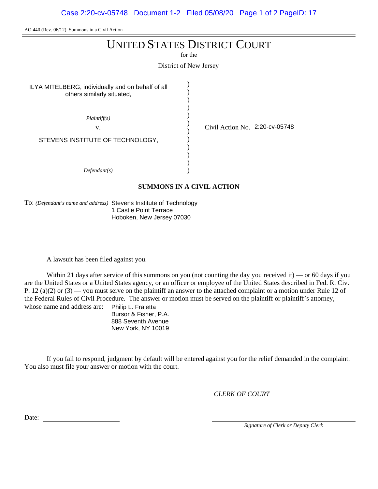Case 2:20-cv-05748 Document 1-2 Filed 05/08/20 Page 1 of 2 PageID: 17

AO 440 (Rev. 06/12) Summons in a Civil Action

## UNITED STATES DISTRICT COURT

for the

District of New Jersey

) )

> ) )

> > )

) )

ILYA MITELBERG, individually and on behalf of all others similarly situated,

) ) ) ) ) *Plaintiff(s)* v.  $\frac{1}{2}$  Civil Action No. 2:20-cv-05748 *Defendant(s)* STEVENS INSTITUTE OF TECHNOLOGY,

#### **SUMMONS IN A CIVIL ACTION**

To: *(Defendant's name and address)* Stevens Institute of Technology 1 Castle Point Terrace Hoboken, New Jersey 07030

A lawsuit has been filed against you.

Within 21 days after service of this summons on you (not counting the day you received it) — or 60 days if you are the United States or a United States agency, or an officer or employee of the United States described in Fed. R. Civ. P. 12 (a)(2) or  $(3)$  — you must serve on the plaintiff an answer to the attached complaint or a motion under Rule 12 of the Federal Rules of Civil Procedure. The answer or motion must be served on the plaintiff or plaintiff's attorney, whose name and address are: Philip L. Fraietta

Bursor & Fisher, P.A. 888 Seventh Avenue New York, NY 10019

If you fail to respond, judgment by default will be entered against you for the relief demanded in the complaint. You also must file your answer or motion with the court.

*CLERK OF COURT*

Date:

*Signature of Clerk or Deputy Clerk*